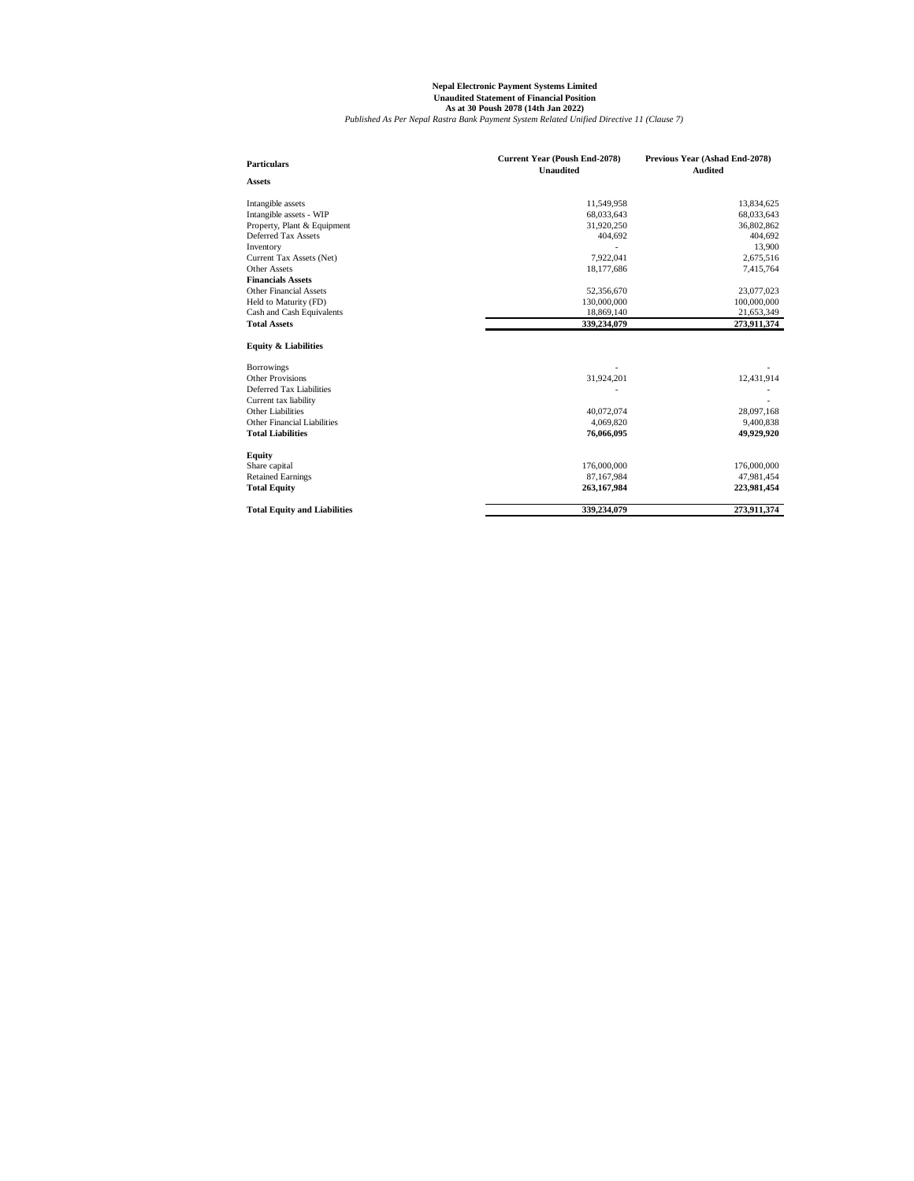| <b>Particulars</b>                  | <b>Current Year (Poush End-2078)</b><br><b>Unaudited</b> | Previous Year (Ashad End-2078)<br><b>Audited</b> |
|-------------------------------------|----------------------------------------------------------|--------------------------------------------------|
| <b>Assets</b>                       |                                                          |                                                  |
| Intangible assets                   | 11,549,958                                               | 13,834,625                                       |
| Intangible assets - WIP             | 68,033,643                                               | 68,033,643                                       |
| Property, Plant & Equipment         | 31,920,250                                               | 36,802,862                                       |
| Deferred Tax Assets                 | 404,692                                                  | 404,692                                          |
| Inventory                           |                                                          | 13,900                                           |
| Current Tax Assets (Net)            | 7,922,041                                                | 2,675,516                                        |
| <b>Other Assets</b>                 | 18,177,686                                               | 7,415,764                                        |
| <b>Financials Assets</b>            |                                                          |                                                  |
| <b>Other Financial Assets</b>       | 52,356,670                                               | 23,077,023                                       |
| Held to Maturity (FD)               | 130,000,000                                              | 100,000,000                                      |
| Cash and Cash Equivalents           | 18,869,140                                               | 21,653,349                                       |
| <b>Total Assets</b>                 | 339,234,079                                              | 273,911,374                                      |
| <b>Equity &amp; Liabilities</b>     |                                                          |                                                  |
| <b>Borrowings</b>                   |                                                          |                                                  |
| <b>Other Provisions</b>             | 31,924,201                                               | 12,431,914                                       |
| Deferred Tax Liabilities            |                                                          |                                                  |
| Current tax liability               |                                                          |                                                  |
| <b>Other Liabilities</b>            | 40,072,074                                               | 28,097,168                                       |
| <b>Other Financial Liabilities</b>  | 4,069,820                                                | 9,400,838                                        |
| <b>Total Liabilities</b>            | 76,066,095                                               | 49,929,920                                       |
| <b>Equity</b>                       |                                                          |                                                  |
| Share capital                       | 176,000,000                                              | 176,000,000                                      |
| <b>Retained Earnings</b>            | 87,167,984                                               | 47,981,454                                       |
| <b>Total Equity</b>                 | 263,167,984                                              | 223,981,454                                      |
| <b>Total Equity and Liabilities</b> | 339,234,079                                              | 273,911,374                                      |

## **Nepal Electronic Payment Systems Limited Unaudited Statement of Financial Position As at 30 Poush 2078 (14th Jan 2022)**

*Published As Per Nepal Rastra Bank Payment System Related Unified Directive 11 (Clause 7)*